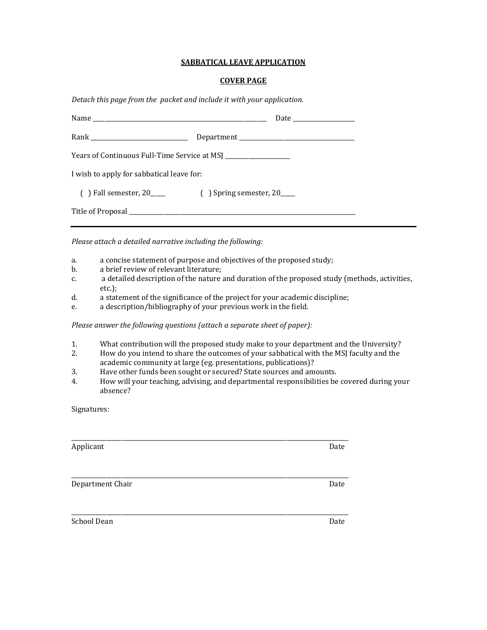### **SABBATICAL LEAVE APPLICATION**

## **COVER PAGE**

*Detach this page from the packet and include it with your application.*

| Years of Continuous Full-Time Service at MSJ |  |  |  |  |  |
|----------------------------------------------|--|--|--|--|--|
| I wish to apply for sabbatical leave for:    |  |  |  |  |  |
|                                              |  |  |  |  |  |
|                                              |  |  |  |  |  |

*Please attach a detailed narrative including the following:*

- a. a concise statement of purpose and objectives of the proposed study;
- b. a brief review of relevant literature;
- c. a detailed description of the nature and duration of the proposed study (methods, activities, etc.);
- d. a statement of the significance of the project for your academic discipline;
- e. a description/bibliography of your previous work in the field.

*Please answer the following questions (attach a separate sheet of paper):*

- 1. What contribution will the proposed study make to your department and the University?
- 2. How do you intend to share the outcomes of your sabbatical with the MSJ faculty and the academic community at large (eg. presentations, publications)?
- 3. Have other funds been sought or secured? State sources and amounts.
- 4. How will your teaching, advising, and departmental responsibilities be covered during your absence?

Signatures:

| Applicant        | Date |
|------------------|------|
| Department Chair | Date |
| School Dean      | Date |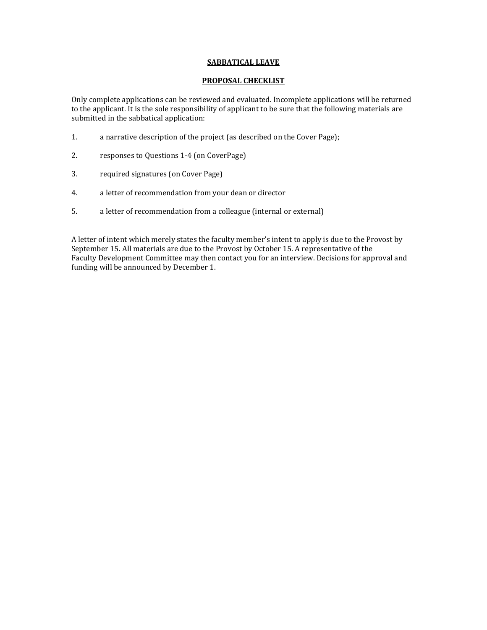### **SABBATICAL LEAVE**

### **PROPOSAL CHECKLIST**

Only complete applications can be reviewed and evaluated. Incomplete applications will be returned to the applicant. It is the sole responsibility of applicant to be sure that the following materials are submitted in the sabbatical application:

- 1. a narrative description of the project (as described on the Cover Page);
- 2. responses to Questions 1-4 (on CoverPage)
- 3. required signatures (on Cover Page)
- 4. a letter of recommendation from your dean or director
- 5. a letter of recommendation from a colleague (internal or external)

A letter of intent which merely states the faculty member's intent to apply is due to the Provost by September 15. All materials are due to the Provost by October 15. A representative of the Faculty Development Committee may then contact you for an interview. Decisions for approval and funding will be announced by December 1.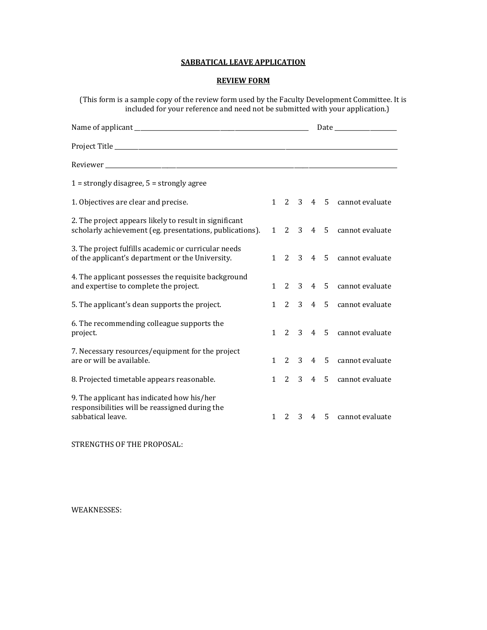# **SABBATICAL LEAVE APPLICATION**

## **REVIEW FORM**

(This form is a sample copy of the review form used by the Faculty Development Committee. It is included for your reference and need not be submitted with your application.)

|                                                                                                                    |              |  | Date and the same state of the state of the state of the state of the state of the state of the state of the state of the state of the state of the state of the state of the state of the state of the state of the state of |  |                           |
|--------------------------------------------------------------------------------------------------------------------|--------------|--|-------------------------------------------------------------------------------------------------------------------------------------------------------------------------------------------------------------------------------|--|---------------------------|
|                                                                                                                    |              |  |                                                                                                                                                                                                                               |  |                           |
|                                                                                                                    |              |  |                                                                                                                                                                                                                               |  |                           |
| $1 =$ strongly disagree, $5 =$ strongly agree                                                                      |              |  |                                                                                                                                                                                                                               |  |                           |
| 1. Objectives are clear and precise.                                                                               |              |  |                                                                                                                                                                                                                               |  | 1 2 3 4 5 cannot evaluate |
| 2. The project appears likely to result in significant<br>scholarly achievement (eg. presentations, publications). |              |  |                                                                                                                                                                                                                               |  | 1 2 3 4 5 cannot evaluate |
| 3. The project fulfills academic or curricular needs<br>of the applicant's department or the University.           |              |  |                                                                                                                                                                                                                               |  | 1 2 3 4 5 cannot evaluate |
| 4. The applicant possesses the requisite background<br>and expertise to complete the project.                      | $\mathbf{1}$ |  |                                                                                                                                                                                                                               |  | 2 3 4 5 cannot evaluate   |
| 5. The applicant's dean supports the project.                                                                      | 1            |  |                                                                                                                                                                                                                               |  | 2 3 4 5 cannot evaluate   |
| 6. The recommending colleague supports the<br>project.                                                             |              |  |                                                                                                                                                                                                                               |  | 1 2 3 4 5 cannot evaluate |
| 7. Necessary resources/equipment for the project<br>are or will be available.                                      | $\mathbf{1}$ |  |                                                                                                                                                                                                                               |  | 2 3 4 5 cannot evaluate   |
| 8. Projected timetable appears reasonable.                                                                         |              |  |                                                                                                                                                                                                                               |  | 1 2 3 4 5 cannot evaluate |
| 9. The applicant has indicated how his/her<br>responsibilities will be reassigned during the<br>sabbatical leave.  | $\mathbf{1}$ |  |                                                                                                                                                                                                                               |  | 2 3 4 5 cannot evaluate   |

STRENGTHS OF THE PROPOSAL:

WEAKNESSES: